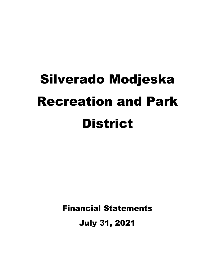# Silverado Modjeska Recreation and Park **District**

Financial Statements

July 31, 2021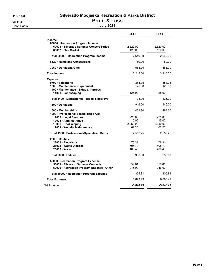## 11:27 AM Silverado Modjeska Recreation & Parks District 08/11/21 **Profit & Loss**

|                                                                                                                                                                   | <b>Jul 21</b>                                  | <b>Jul 21</b>                                  |  |
|-------------------------------------------------------------------------------------------------------------------------------------------------------------------|------------------------------------------------|------------------------------------------------|--|
| <b>Income</b><br>60000 · Recreation Program Income<br>60003 · Silverado Summer Concert Series<br>60007 · Flea Market                                              | 2,520.00<br>120.00                             | 2,520.00<br>120.00                             |  |
| Total 60000 · Recreation Program Income                                                                                                                           | 2,640.00                                       | 2,640.00                                       |  |
| 6620 Rents and Concessions                                                                                                                                        | 50.00                                          | 50.00                                          |  |
| 7960 Donations/Gifts                                                                                                                                              | 555.00                                         | 555.00                                         |  |
| <b>Total Income</b>                                                                                                                                               | 3,245.00                                       | 3,245.00                                       |  |
| <b>Expense</b><br>0702 · Telephone<br>1300 · Maintenance - Equipment<br>1400 · Maintenance - Bldgs & Improvs<br>14001 · Landscaping                               | 384.25<br>128.38<br>125.00                     | 384.25<br>128.38<br>125.00                     |  |
| Total 1400 · Maintenance - Bldgs & Improvs                                                                                                                        | 125.00                                         | 125.00                                         |  |
| 1500 Donations                                                                                                                                                    | 946.00                                         | 946.00                                         |  |
| 1600 Memberships<br>1900 · Professional/Specialized Srvcs<br>19002 · Legal Services<br>19005 · Administrative<br>19006 · Bookkeeping<br>19009 Website Maintenance | 463.30<br>225.00<br>15.00<br>2,250.00<br>62.25 | 463.30<br>225.00<br>15.00<br>2,250.00<br>62.25 |  |
| Total 1900 · Professional/Specialized Srvcs                                                                                                                       | 2,552.25                                       | 2,552.25                                       |  |
| 2800 · Utilities<br>28001 Electricity<br>28002 · Waste Disposal<br>28005 Water                                                                                    | 76.31<br>505.79<br>406.40                      | 76.31<br>505.79<br>406.40                      |  |
| Total 2800 · Utilities                                                                                                                                            | 988.50                                         | 988.50                                         |  |
| 50000 · Recreation Program Expense<br>50003 · Silverado Summer Concerts<br>50000 · Recreation Program Expense - Other                                             | 359.81<br>946.00                               | 359.81<br>946.00                               |  |
| Total 50000 · Recreation Program Expense                                                                                                                          | 1,305.81                                       | 1,305.81                                       |  |
| <b>Total Expense</b>                                                                                                                                              | 6,893.49                                       | 6,893.49                                       |  |
| Net Income                                                                                                                                                        | $-3,648.49$                                    | $-3,648.49$                                    |  |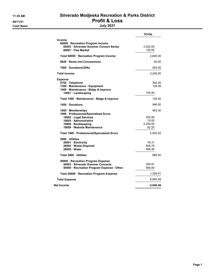Cash Basis July 2021

## 11:30 AM Silverado Modjeska Recreation & Parks District 08/11/21 **Profit & Loss**

|                                                                                                                                                                       | <b>TOTAL</b>                                   |
|-----------------------------------------------------------------------------------------------------------------------------------------------------------------------|------------------------------------------------|
| <b>Income</b><br>60000 · Recreation Program Income<br>60003 · Silverado Summer Concert Series<br>60007 · Flea Market                                                  | 2,520.00<br>120.00                             |
| Total 60000 · Recreation Program Income                                                                                                                               | 2,640.00                                       |
| 6620 Rents and Concessions                                                                                                                                            | 50.00                                          |
| 7960 Donations/Gifts                                                                                                                                                  | 555.00                                         |
| <b>Total Income</b>                                                                                                                                                   | 3,245.00                                       |
| <b>Expense</b><br>0702 · Telephone<br>1300 · Maintenance - Equipment<br>1400 · Maintenance - Bldgs & Improvs<br>14001 · Landscaping                                   | 384.25<br>128.38<br>125.00                     |
| Total 1400 · Maintenance - Bldgs & Improvs                                                                                                                            | 125.00                                         |
| 1500 Donations                                                                                                                                                        | 946.00                                         |
| 1600 · Memberships<br>1900 · Professional/Specialized Srvcs<br>19002 · Legal Services<br>19005 · Administrative<br>19006 · Bookkeeping<br>19009 · Website Maintenance | 463.30<br>225.00<br>15.00<br>2,250.00<br>62.25 |
| Total 1900 · Professional/Specialized Srvcs                                                                                                                           | 2,552.25                                       |
| 2800 Utilities<br>28001 · Electricity<br>28002 · Waste Disposal<br>28005 · Water                                                                                      | 76.31<br>505.79<br>406.40                      |
| Total 2800 · Utilities                                                                                                                                                | 988.50                                         |
| 50000 · Recreation Program Expense<br>50003 · Silverado Summer Concerts<br>50000 · Recreation Program Expense - Other                                                 | 359.81<br>946.00                               |
| Total 50000 · Recreation Program Expense                                                                                                                              | 1,305.81                                       |
| <b>Total Expense</b>                                                                                                                                                  | 6,893.49                                       |
| Net Income                                                                                                                                                            | $-3,648.49$                                    |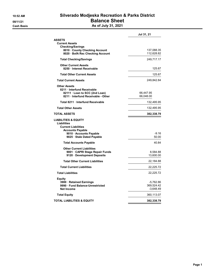## 10:52 AM Silverado Modjeska Recreation & Parks District 08/11/21 **Balance Sheet**

Cash Basis **As of July 31, 2021** 

|                                                                              | Jul 31, 21             |
|------------------------------------------------------------------------------|------------------------|
| <b>ASSETS</b>                                                                |                        |
| <b>Current Assets</b><br><b>Checking/Savings</b>                             |                        |
| 8010 County Checking Account                                                 | 137,088.35             |
| 8020 · BofA Rec Checking Account                                             | 112,628.82             |
| <b>Total Checking/Savings</b>                                                | 249,717.17             |
| <b>Other Current Assets</b>                                                  |                        |
| 8250 · Interest Receivable                                                   | 125.67                 |
| <b>Total Other Current Assets</b>                                            | 125.67                 |
| <b>Total Current Assets</b>                                                  | 249,842.84             |
| <b>Other Assets</b>                                                          |                        |
| 8211 Interfund Receivable                                                    |                        |
| 82111 · Loan to SCC (2nd Loan)<br>8211 Interfund Receivable - Other          | 66,447.95<br>66,048.00 |
|                                                                              |                        |
| Total 8211 Interfund Receivable                                              | 132,495.95             |
| <b>Total Other Assets</b>                                                    | 132,495.95             |
| TOTAL ASSETS                                                                 | 382,338.79             |
| <b>LIABILITIES &amp; EQUITY</b><br>Liabilities<br><b>Current Liabilities</b> |                        |
| <b>Accounts Payable</b><br>9010 Accounts Payable                             | $-9.16$                |
| 9025 · Stale Dated Payable                                                   | 50.00                  |
| <b>Total Accounts Payable</b>                                                | 40.84                  |
|                                                                              |                        |
|                                                                              |                        |
| <b>Other Current Liabilities</b><br>9001 CAPRI Stage Repair Funds            | 8,584.88               |
| 9120 Development Deposits                                                    | 13,600.00              |
| <b>Total Other Current Liabilities</b>                                       | 22,184.88              |
| <b>Total Current Liabilities</b>                                             | 22,225.72              |
| <b>Total Liabilities</b>                                                     | 22,225.72              |
| Equity                                                                       |                        |
| 3900 · Retained Earnings                                                     | -5,762.86              |
| 9990 Fund Balance-Unrestricted                                               | 369,524.42             |
| <b>Net Income</b>                                                            | $-3,648.49$            |
| <b>Total Equity</b>                                                          | 360,113.07             |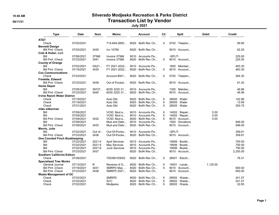## 10:48 AM Silverado Modjeska Recreation & Parks District 08/11/21 Contraction List by Vendor

July 2021

| <b>Type</b>                          | <b>Date</b> | <b>Num</b> | Memo                  | <b>Account</b>           | Cir      | <b>Split</b>               | <b>Debit</b> | <b>Credit</b> |
|--------------------------------------|-------------|------------|-----------------------|--------------------------|----------|----------------------------|--------------|---------------|
| AT&T                                 |             |            |                       |                          |          |                            |              |               |
| Check                                | 07/02/2021  |            | 714-649-2850          | $8020 \cdot$ BofA Rec Ch | X        | $0702 \cdot$ Telepho       |              | 99.95         |
| <b>Bennett Design</b>                |             |            |                       |                          |          |                            |              |               |
| <b>Bill Pmt - Check</b>              | 07/02/2021  | 3430       | Inv 10780             | $8020 \cdot$ BofA Rec Ch |          | $9010 \cdot$ Account       |              | 62.25         |
| Cole & Huber, LLC                    |             |            |                       |                          |          |                            |              |               |
| Bill                                 | 07/06/2021  | 37566      | Invoice 37566         | 9010 · Accounts Pa       |          | -SPLIT-                    |              | 225.00        |
| <b>Bill Pmt - Check</b>              | 07/23/2021  | 3441       | Invoice 37566         | 8020 · BofA Rec Ch       | $\times$ | $9010 \cdot$ Account       |              | 225.00        |
| <b>County of Orange</b>              |             |            |                       |                          |          |                            |              |               |
| Bill                                 | 07/02/2021  | GA21       | FY 2021-2022          | 9010 · Accounts Pa       |          | $1600 \cdot \text{Member}$ |              | 463.30        |
| <b>Bill Pmt -Check</b>               | 07/16/2021  | 3435       | FY 2021-2022          | 8020 · BofA Rec Ch       | X        | 9010 · Account             |              | 463.30        |
| <b>Cox Communications</b>            |             |            |                       |                          |          |                            |              |               |
| Check                                | 07/23/2021  |            | Account #001          | 8020 · BofA Rec Ch       | X        | 0702 · Telepho             |              | 284.30        |
| <b>Fredette, Edward</b>              |             |            |                       |                          |          |                            |              |               |
| <b>Bill Pmt - Check</b>              | 07/23/2021  | 3439       | Out of Pocket         | 8020 · BofA Rec Ch       |          | $9010 \cdot$ Account       |              | 81.42         |
| <b>Home Depot</b>                    |             |            |                       |                          |          |                            |              |               |
| Bill                                 | 07/05/2021  | 39727      | 6035 3225 31          | 9010 · Accounts Pa       |          | $1300 \cdot$ Mainten       |              | 46.96         |
| <b>Bill Pmt - Check</b>              | 07/23/2021  | 3440       | 6035 3225 31          | $8020 \cdot$ BofA Rec Ch |          | $9010 \cdot$ Account       |              | 46.96         |
| <b>Irvine Ranch Water District</b>   |             |            |                       |                          |          |                            |              |               |
| Check                                | 07/19/2021  |            | Auto Dbt              | 8020 · BofA Rec Ch       | Χ        | $28005 \cdot Water$        |              | 142.96        |
| Check                                | 07/19/2021  |            | Auto Dbt              | $8020 \cdot$ BofA Rec Ch | $\times$ | $28005 \cdot Water$        |              | 12.69         |
| Check                                | 07/21/2021  |            | Auto Dbt              | $8020 \cdot$ BofA Rec Ch | X        | $28005 \cdot Water$        |              | 250.75        |
| mike silberman                       |             |            |                       |                          |          |                            |              |               |
| Bill                                 | 07/09/2021  |            | VOID: Mud a           | 9010 · Accounts Pa       | X        | $14002 \cdot$ Repair       | 0.00         |               |
| Bill                                 | 07/09/2021  |            | VOID: Mud a           | 9010 · Accounts Pa       | X        | $14002 \cdot$ Repair       | 0.00         |               |
| <b>Bill Pmt -Check</b>               | 07/09/2021  | 3432       | VOID: Mud a           | 8020 · BofA Rec Ch       | $\times$ | $9010 \cdot$ Account       | 0.00         |               |
| Bill                                 | 07/09/2021  |            | Mud and Debr          | 9010 · Accounts Pa       |          | 1500 · Donations           |              | 946.00        |
| <b>Bill Pmt -Check</b>               | 07/09/2021  | 3433       | Mud and Debr          | $8020 \cdot$ BofA Rec Ch |          | 9010 · Account             |              | 946.00        |
| Morris, Julie                        |             |            |                       |                          |          |                            |              |               |
| Bill                                 | 07/22/2021  | Out of     | Out-Of-Pocke          | $9010 \cdot$ Accounts Pa |          | -SPLIT-                    |              | 359.81        |
| <b>Bill Pmt - Check</b>              | 07/23/2021  | 3436       | Out-Of-Pocke          | 8020 · BofA Rec Ch       |          | 9010 · Account             |              | 359.81        |
| <b>One Counted Finch Bookkeeping</b> |             |            |                       |                          |          |                            |              |               |
| Bill                                 | 07/22/2021  | 2021-4     | <b>April Services</b> | 9010 · Accounts Pa       |          | $19006 \cdot Book$         |              | 750.00        |
| Bill                                 | 07/22/2021  | 2021-5     | May Services          | 9010 · Accounts Pa       |          | 19006 · Bookk              |              | 750.00        |
| Bill                                 | 07/22/2021  | 2021-6     | June Services         | 9010 Accounts Pa         |          | 19006 · Bookk              |              | 750.00        |
| <b>Bill Pmt -Check</b>               | 07/23/2021  | 3437       |                       | 8020 · BofA Rec Ch       |          | 9010 · Account             |              | 2,250.00      |
| Southern California Edison           |             |            |                       |                          |          |                            |              |               |
| Check                                | 07/26/2021  |            | 700390193052          | $8020 \cdot$ BofA Rec Ch | X        | $28001 \cdot$ Electri      |              | 76.31         |
| <b>Specialized Tree Works</b>        |             |            |                       |                          |          |                            |              |               |
| General Journal                      | 07/13/2021  | R          | Reverse of G          | 8020 · BofA Rec Ch       | X        | $14001 \cdot$ Lands        | 1,125.00     |               |
| <b>Bill Pmt -Check</b>               | 07/16/2021  | 3431       | SMRPD May             | $8020 \cdot$ BofA Rec Ch | X.       | $9010 \cdot$ Account       |              | 600.00        |
| <b>Bill Pmt - Check</b>              | 07/23/2021  | 3438       | SMRPD 2021            | 8020 · BofA Rec Ch       |          | $9010 \cdot$ Account       |              | 650.00        |
| <b>Waste Management of OC</b>        |             |            |                       |                          |          |                            |              |               |
| Check                                | 07/22/2021  |            | <b>SMRPD</b>          | $8020 \cdot$ BofA Rec Ch | X        | 28002 · Waste              |              | 241.57        |
| Check                                | 07/22/2021  |            | <b>SCC</b>            | $8020 \cdot$ BofA Rec Ch | X        | 28002 · Waste              |              | 241.57        |
| Check                                | 07/22/2021  |            | Modjeska              | 8020 · BofA Rec Ch       | X        | 28002 · Waste              |              | 22.65         |